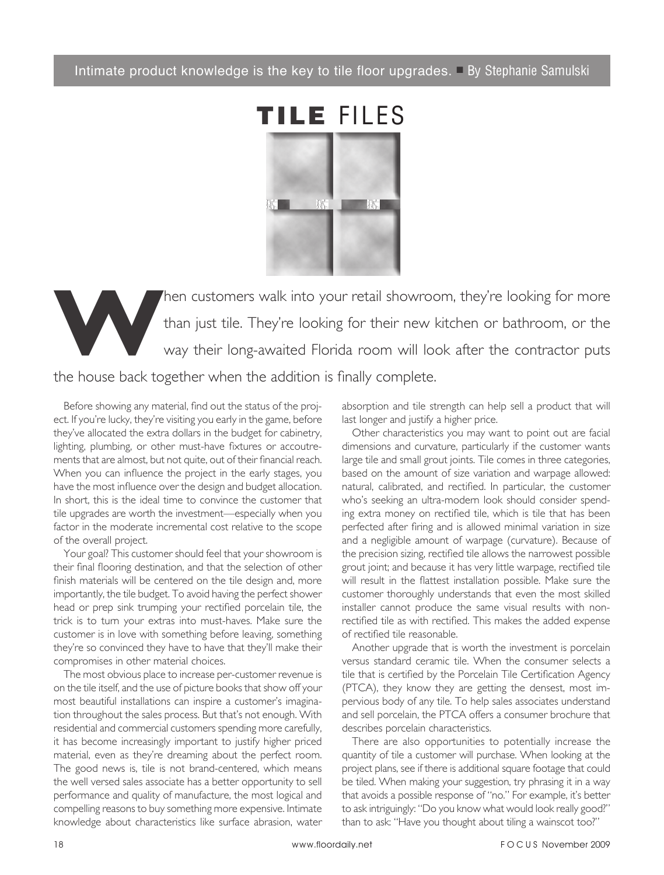Intimate product knowledge is the key to tile floor upgrades.  $\Box$  By Stephanie Samulski



Then customers walk into your retail showroom, they're looking for more than just tile. They're looking for their new kitchen or bathroom, or the way their long-awaited Florida room will look after the contractor puts than just tile. They're looking for their new kitchen or bathroom, or the way their long-awaited Florida room will look after the contractor puts the house back together when the addition is finally complete.

Before showing any material, find out the status of the project. If you're lucky, they're visiting you early in the game, before they've allocated the extra dollars in the budget for cabinetry, lighting, plumbing, or other must-have fixtures or accoutrements that are almost, but not quite, out of their financial reach. When you can influence the project in the early stages, you have the most influence over the design and budget allocation. In short, this is the ideal time to convince the customer that tile upgrades are worth the investment—especially when you factor in the moderate incremental cost relative to the scope of the overall project.

 Your goal? This customer should feel that your showroom is their final flooring destination, and that the selection of other finish materials will be centered on the tile design and, more importantly, the tile budget. To avoid having the perfect shower head or prep sink trumping your rectified porcelain tile, the trick is to turn your extras into must-haves. Make sure the customer is in love with something before leaving, something they're so convinced they have to have that they'll make their compromises in other material choices.

 The most obvious place to increase per-customer revenue is on the tile itself, and the use of picture books that show off your most beautiful installations can inspire a customer's imagination throughout the sales process. But that's not enough. With residential and commercial customers spending more carefully, it has become increasingly important to justify higher priced material, even as they're dreaming about the perfect room. The good news is, tile is not brand-centered, which means the well versed sales associate has a better opportunity to sell performance and quality of manufacture, the most logical and compelling reasons to buy something more expensive. Intimate knowledge about characteristics like surface abrasion, water

absorption and tile strength can help sell a product that will last longer and justify a higher price.

 Other characteristics you may want to point out are facial dimensions and curvature, particularly if the customer wants large tile and small grout joints. Tile comes in three categories, based on the amount of size variation and warpage allowed: natural, calibrated, and rectified. In particular, the customer who's seeking an ultra-modern look should consider spending extra money on rectified tile, which is tile that has been perfected after firing and is allowed minimal variation in size and a negligible amount of warpage (curvature). Because of the precision sizing, rectified tile allows the narrowest possible grout joint; and because it has very little warpage, rectified tile will result in the flattest installation possible. Make sure the customer thoroughly understands that even the most skilled installer cannot produce the same visual results with nonrectified tile as with rectified. This makes the added expense of rectified tile reasonable.

 Another upgrade that is worth the investment is porcelain versus standard ceramic tile. When the consumer selects a tile that is certified by the Porcelain Tile Certification Agency (PTCA), they know they are getting the densest, most impervious body of any tile. To help sales associates understand and sell porcelain, the PTCA offers a consumer brochure that describes porcelain characteristics.

 There are also opportunities to potentially increase the quantity of tile a customer will purchase. When looking at the project plans, see if there is additional square footage that could be tiled. When making your suggestion, try phrasing it in a way that avoids a possible response of "no." For example, it's better to ask intriguingly: "Do you know what would look really good?" than to ask: "Have you thought about tiling a wainscot too?"